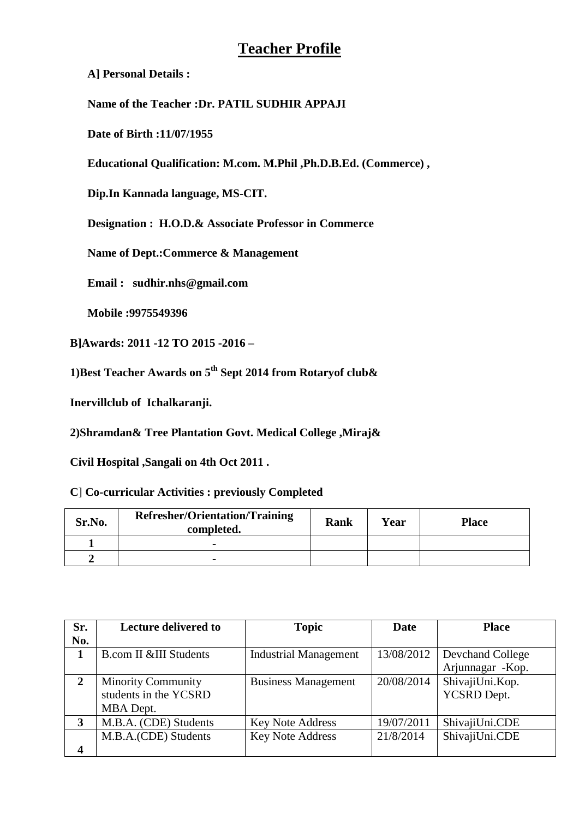# **Teacher Profile**

**A] Personal Details :**

**Name of the Teacher :Dr. PATIL SUDHIR APPAJI**

**Date of Birth :11/07/1955**

**Educational Qualification: M.com. M.Phil ,Ph.D.B.Ed. (Commerce) ,**

**Dip.In Kannada language, MS-CIT.**

**Designation : H.O.D.& Associate Professor in Commerce**

**Name of Dept.:Commerce & Management**

**Email : sudhir.nhs@gmail.com**

**Mobile :9975549396**

**B]Awards: 2011 -12 TO 2015 -2016 –**

**1)Best Teacher Awards on 5th Sept 2014 from Rotaryof club&**

**Inervillclub of Ichalkaranji.**

**2)Shramdan& Tree Plantation Govt. Medical College ,Miraj&**

**Civil Hospital ,Sangali on 4th Oct 2011 .**

**C**] **Co-curricular Activities : previously Completed**

| Sr.No. | <b>Refresher/Orientation/Training</b><br>completed. | <b>Rank</b> | Year | <b>Place</b> |
|--------|-----------------------------------------------------|-------------|------|--------------|
|        | -                                                   |             |      |              |
|        |                                                     |             |      |              |

| Sr.            | <b>Lecture delivered to</b>       | <b>Topic</b>                 | Date       | <b>Place</b>      |
|----------------|-----------------------------------|------------------------------|------------|-------------------|
| No.            |                                   |                              |            |                   |
|                | <b>B.com II &amp;III Students</b> | <b>Industrial Management</b> | 13/08/2012 | Devchand College  |
|                |                                   |                              |            | Arjunnagar - Kop. |
| $\overline{2}$ | <b>Minority Community</b>         | <b>Business Management</b>   | 20/08/2014 | ShivajiUni.Kop.   |
|                | students in the YCSRD             |                              |            | YCSRD Dept.       |
|                | MBA Dept.                         |                              |            |                   |
| 3              | M.B.A. (CDE) Students             | <b>Key Note Address</b>      | 19/07/2011 | ShivajiUni.CDE    |
|                | M.B.A.(CDE) Students              | <b>Key Note Address</b>      | 21/8/2014  | ShivajiUni.CDE    |
| 4              |                                   |                              |            |                   |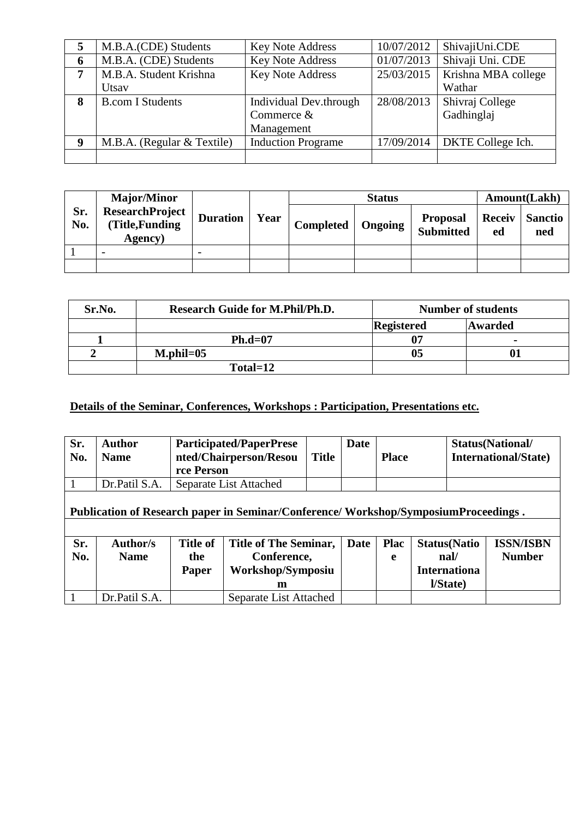|   | M.B.A.(CDE) Students       | <b>Key Note Address</b>   | 10/07/2012 | ShivajiUni.CDE                 |
|---|----------------------------|---------------------------|------------|--------------------------------|
| 6 | M.B.A. (CDE) Students      | <b>Key Note Address</b>   | 01/07/2013 | Shivaji Uni. CDE               |
| 7 | M.B.A. Student Krishna     | <b>Key Note Address</b>   | 25/03/2015 | Krishna MBA college            |
|   | Utsay                      |                           |            | Wathar                         |
| 8 | <b>B.com I Students</b>    | Individual Dev.through    | 28/08/2013 | Shivraj College                |
|   |                            | Commerce &                |            | Gadhinglaj                     |
|   |                            | Management                |            |                                |
| 9 | M.B.A. (Regular & Textile) | <b>Induction Programe</b> |            | 17/09/2014   DKTE College Ich. |
|   |                            |                           |            |                                |

|            | <b>Major/Minor</b>                                   |                 |      |                  | Amount(Lakh) |                                     |                     |                       |
|------------|------------------------------------------------------|-----------------|------|------------------|--------------|-------------------------------------|---------------------|-----------------------|
| Sr.<br>No. | <b>ResearchProject</b><br>(Title, Funding<br>Agency) | <b>Duration</b> | Year | <b>Completed</b> | Ongoing      | <b>Proposal</b><br><b>Submitted</b> | <b>Receiv</b><br>ed | <b>Sanctio</b><br>ned |
|            |                                                      |                 |      |                  |              |                                     |                     |                       |
|            |                                                      |                 |      |                  |              |                                     |                     |                       |

| Sr.No. | <b>Research Guide for M.Phil/Ph.D.</b> |                   | <b>Number of students</b> |
|--------|----------------------------------------|-------------------|---------------------------|
|        |                                        | <b>Registered</b> | <b>Awarded</b>            |
|        | $Ph.d=07$                              | 07                | $\blacksquare$            |
|        | $M$ , phil= $05$                       | 05                |                           |
|        | Total=12                               |                   |                           |

## **Details of the Seminar, Conferences, Workshops : Participation, Presentations etc.**

| Sr.<br>No. | <b>Author</b><br><b>Name</b>                                                       | <b>Participated/PaperPrese</b><br>nted/Chairperson/Resou<br>rce Person |                              | <b>Title</b> | Date        | <b>Place</b> |                           | <b>Status(National/</b><br><b>International/State)</b> |  |  |
|------------|------------------------------------------------------------------------------------|------------------------------------------------------------------------|------------------------------|--------------|-------------|--------------|---------------------------|--------------------------------------------------------|--|--|
|            | Dr.Patil S.A.                                                                      | Separate List Attached                                                 |                              |              |             |              |                           |                                                        |  |  |
|            | Publication of Research paper in Seminar/Conference/Workshop/SymposiumProceedings. |                                                                        |                              |              |             |              |                           |                                                        |  |  |
| Sr.        | <b>Author/s</b>                                                                    | <b>Title of</b>                                                        | <b>Title of The Seminar,</b> |              | <b>Date</b> | <b>Plac</b>  | <b>Status</b> (Natio      | <b>ISSN/ISBN</b>                                       |  |  |
| No.        | <b>Name</b>                                                                        | the                                                                    | Conference,                  |              |             | e            | $\mathbf{nal}/\mathbf{a}$ | <b>Number</b>                                          |  |  |
|            |                                                                                    | <b>Paper</b>                                                           | Workshop/Symposiu            |              |             |              | <b>Internationa</b>       |                                                        |  |  |
|            |                                                                                    |                                                                        | m                            |              |             |              | l/State)                  |                                                        |  |  |
|            | Dr.Patil S.A.                                                                      |                                                                        | Separate List Attached       |              |             |              |                           |                                                        |  |  |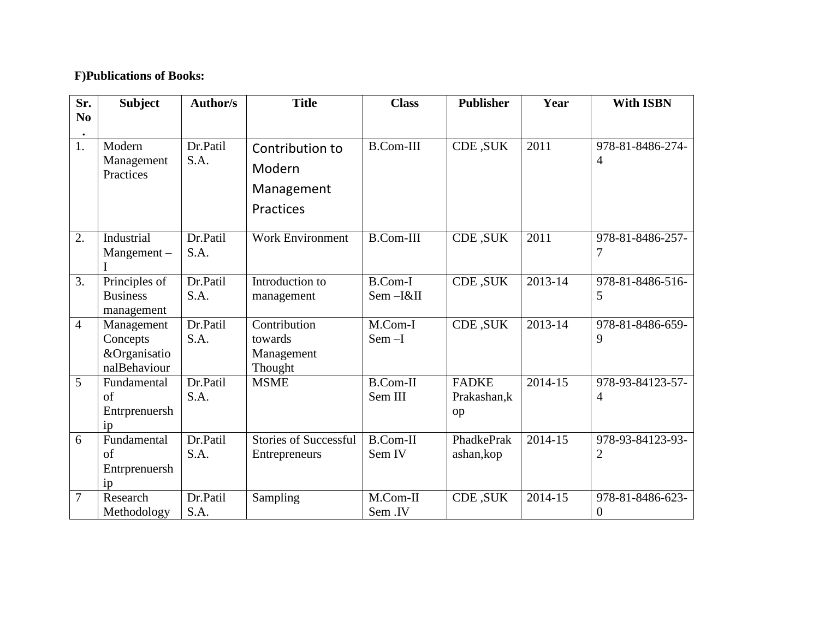## **F)Publications of Books:**

| Sr.            | <b>Subject</b>                                         | <b>Author/s</b>  | <b>Title</b>                                         | <b>Class</b>               | <b>Publisher</b>                   | Year    | <b>With ISBN</b>             |
|----------------|--------------------------------------------------------|------------------|------------------------------------------------------|----------------------------|------------------------------------|---------|------------------------------|
| N <sub>0</sub> |                                                        |                  |                                                      |                            |                                    |         |                              |
| 1.             | Modern<br>Management<br>Practices                      | Dr.Patil<br>S.A. | Contribution to<br>Modern<br>Management<br>Practices | <b>B.Com-III</b>           | CDE, SUK                           | 2011    | 978-81-8486-274-<br>4        |
| 2.             | Industrial<br>Mangement-                               | Dr.Patil<br>S.A. | <b>Work Environment</b>                              | <b>B.Com-III</b>           | CDE, SUK                           | 2011    | 978-81-8486-257-<br>7        |
| 3.             | Principles of<br><b>Business</b><br>management         | Dr.Patil<br>S.A. | Introduction to<br>management                        | <b>B.Com-I</b><br>Sem-I&II | CDE, SUK                           | 2013-14 | 978-81-8486-516-<br>5        |
| $\overline{4}$ | Management<br>Concepts<br>&Organisatio<br>nalBehaviour | Dr.Patil<br>S.A. | Contribution<br>towards<br>Management<br>Thought     | M.Com-I<br>$Sem-I$         | CDE, SUK                           | 2013-14 | 978-81-8486-659-<br>9        |
| 5              | Fundamental<br>of<br>Entrprenuersh<br>ip               | Dr.Patil<br>S.A. | <b>MSME</b>                                          | <b>B.Com-II</b><br>Sem III | <b>FADKE</b><br>Prakashan, k<br>op | 2014-15 | 978-93-84123-57-<br>4        |
| 6              | Fundamental<br>$\sigma$ f<br>Entrprenuersh<br>ip       | Dr.Patil<br>S.A. | <b>Stories of Successful</b><br>Entrepreneurs        | <b>B.Com-II</b><br>Sem IV  | PhadkePrak<br>ashan, kop           | 2014-15 | 978-93-84123-93-<br>2        |
| 7              | Research<br>Methodology                                | Dr.Patil<br>S.A. | Sampling                                             | M.Com-II<br>Sem .IV        | CDE, SUK                           | 2014-15 | 978-81-8486-623-<br>$\theta$ |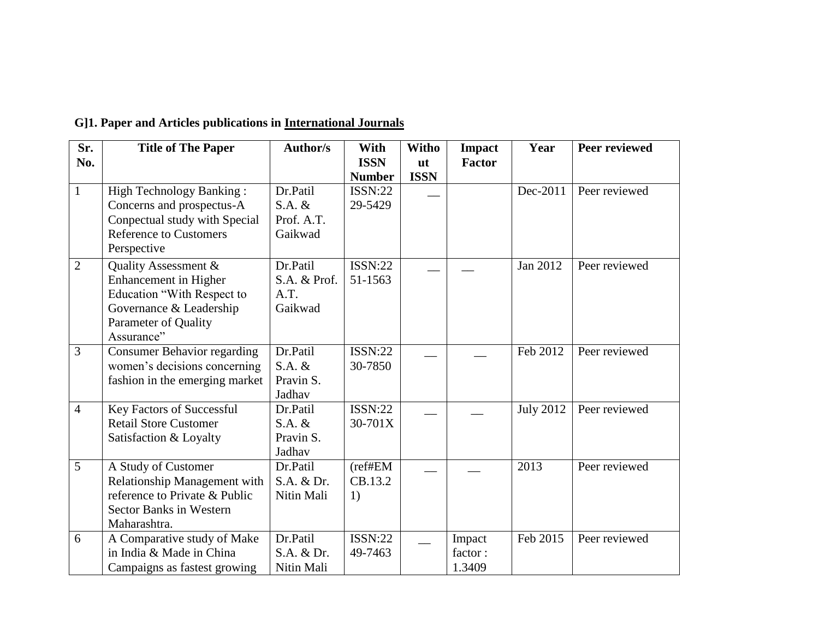| Sr.<br>No.     | <b>Title of The Paper</b>                                                                                                                           | <b>Author/s</b>                               | With<br><b>ISSN</b><br><b>Number</b> | Witho<br>$u$ t<br><b>ISSN</b> | <b>Impact</b><br><b>Factor</b> | Year             | <b>Peer reviewed</b> |
|----------------|-----------------------------------------------------------------------------------------------------------------------------------------------------|-----------------------------------------------|--------------------------------------|-------------------------------|--------------------------------|------------------|----------------------|
| $\mathbf{1}$   | <b>High Technology Banking:</b><br>Concerns and prospectus-A<br>Conpectual study with Special<br><b>Reference to Customers</b><br>Perspective       | Dr.Patil<br>$S.A.$ &<br>Prof. A.T.<br>Gaikwad | <b>ISSN:22</b><br>29-5429            |                               |                                | Dec-2011         | Peer reviewed        |
| $\overline{2}$ | Quality Assessment &<br><b>Enhancement</b> in Higher<br>Education "With Respect to<br>Governance & Leadership<br>Parameter of Quality<br>Assurance" | Dr.Patil<br>S.A. & Prof.<br>A.T.<br>Gaikwad   | <b>ISSN:22</b><br>51-1563            |                               |                                | Jan 2012         | Peer reviewed        |
| $\overline{3}$ | <b>Consumer Behavior regarding</b><br>women's decisions concerning<br>fashion in the emerging market                                                | Dr.Patil<br>$S.A. \&$<br>Pravin S.<br>Jadhav  | <b>ISSN:22</b><br>30-7850            |                               |                                | Feb 2012         | Peer reviewed        |
| $\overline{4}$ | <b>Key Factors of Successful</b><br><b>Retail Store Customer</b><br>Satisfaction & Loyalty                                                          | Dr.Patil<br>$S.A. \&$<br>Pravin S.<br>Jadhav  | <b>ISSN:22</b><br>$30-701X$          |                               |                                | <b>July 2012</b> | Peer reviewed        |
| 5              | A Study of Customer<br>Relationship Management with<br>reference to Private & Public<br><b>Sector Banks in Western</b><br>Maharashtra.              | Dr.Patil<br>S.A. & Dr.<br>Nitin Mali          | (reffHEM<br>CB.13.2<br>1)            |                               |                                | 2013             | Peer reviewed        |
| 6              | A Comparative study of Make<br>in India & Made in China<br>Campaigns as fastest growing                                                             | Dr.Patil<br>S.A. & Dr.<br>Nitin Mali          | <b>ISSN:22</b><br>49-7463            |                               | Impact<br>factor:<br>1.3409    | Feb 2015         | Peer reviewed        |

# **G]1. Paper and Articles publications in International Journals**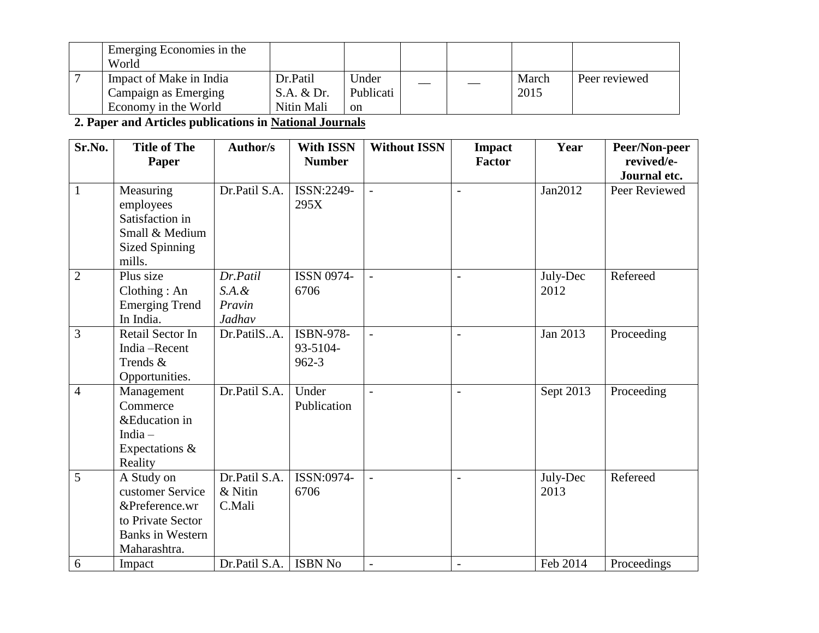| Emerging Economies in the<br>World                                      |                                      |                          |  |               |               |
|-------------------------------------------------------------------------|--------------------------------------|--------------------------|--|---------------|---------------|
| Impact of Make in India<br>Campaign as Emerging<br>Economy in the World | Dr.Patil<br>S.A. & Dr.<br>Nitin Mali | Under<br>Publicati<br>on |  | March<br>2015 | Peer reviewed |

**2. Paper and Articles publications in National Journals**

| Sr.No.         | <b>Title of The</b><br>Paper                                                                                     | <b>Author/s</b>                        | <b>With ISSN</b><br><b>Number</b>  | <b>Without ISSN</b> | <b>Impact</b><br><b>Factor</b> | Year             | Peer/Non-peer<br>revived/e-<br>Journal etc. |
|----------------|------------------------------------------------------------------------------------------------------------------|----------------------------------------|------------------------------------|---------------------|--------------------------------|------------------|---------------------------------------------|
| $\mathbf{1}$   | Measuring<br>employees<br>Satisfaction in<br>Small & Medium<br><b>Sized Spinning</b><br>mills.                   | Dr.Patil S.A.                          | ISSN:2249-<br>295X                 | $\overline{a}$      | $\overline{\phantom{a}}$       | Jan2012          | Peer Reviewed                               |
| $\overline{2}$ | Plus size<br>Clothing: An<br><b>Emerging Trend</b><br>In India.                                                  | Dr.Patil<br>S.A.d.<br>Pravin<br>Jadhav | <b>ISSN 0974-</b><br>6706          |                     |                                | July-Dec<br>2012 | Refereed                                    |
| 3              | Retail Sector In<br>India-Recent<br>Trends &<br>Opportunities.                                                   | Dr.PatilSA.                            | ISBN-978-<br>93-5104-<br>$962 - 3$ |                     |                                | Jan 2013         | Proceeding                                  |
| $\overline{4}$ | Management<br>Commerce<br>&Education in<br>India $-$<br>Expectations &<br>Reality                                | Dr.Patil S.A.                          | Under<br>Publication               |                     |                                | Sept 2013        | Proceeding                                  |
| 5              | A Study on<br>customer Service<br>&Preference.wr<br>to Private Sector<br><b>Banks in Western</b><br>Maharashtra. | Dr.Patil S.A.<br>$&$ Nitin<br>C.Mali   | ISSN:0974-<br>6706                 |                     |                                | July-Dec<br>2013 | Refereed                                    |
| 6              | Impact                                                                                                           | Dr.Patil S.A.                          | <b>ISBN No</b>                     |                     |                                | Feb 2014         | Proceedings                                 |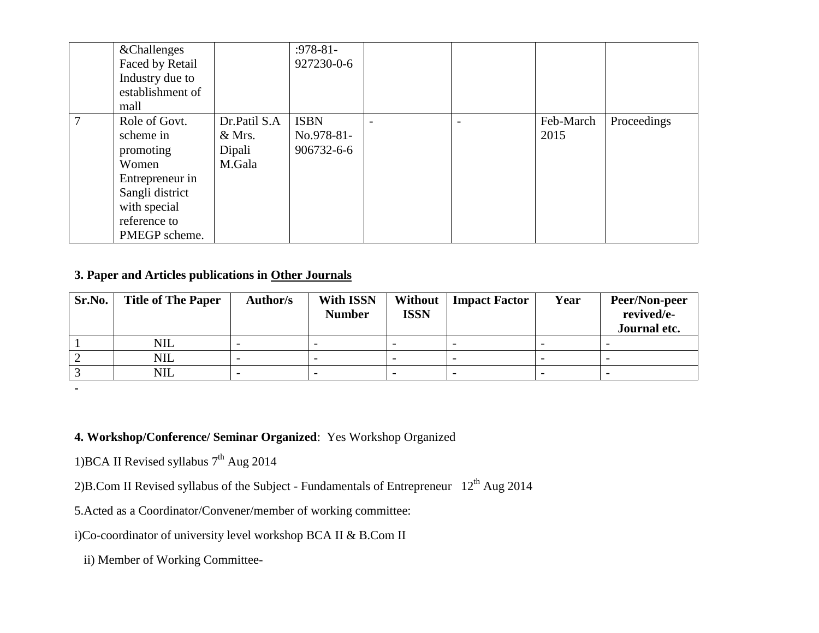| & Challenges     |              | $: 978 - 81 -$ |                          |           |             |
|------------------|--------------|----------------|--------------------------|-----------|-------------|
| Faced by Retail  |              | 927230-0-6     |                          |           |             |
| Industry due to  |              |                |                          |           |             |
| establishment of |              |                |                          |           |             |
| mall             |              |                |                          |           |             |
| Role of Govt.    | Dr.Patil S.A | <b>ISBN</b>    | $\overline{\phantom{0}}$ | Feb-March | Proceedings |
| scheme in        | $&$ Mrs.     | No.978-81-     |                          | 2015      |             |
| promoting        | Dipali       | 906732-6-6     |                          |           |             |
| Women            | M.Gala       |                |                          |           |             |
| Entrepreneur in  |              |                |                          |           |             |
| Sangli district  |              |                |                          |           |             |
| with special     |              |                |                          |           |             |
| reference to     |              |                |                          |           |             |
| PMEGP scheme.    |              |                |                          |           |             |

## **3. Paper and Articles publications in Other Journals**

| Sr.No. | <b>Title of The Paper</b> | Author/s | With ISSN<br><b>Number</b> | Without<br><b>ISSN</b> | <b>Impact Factor</b> | Year                     | <b>Peer/Non-peer</b><br>revived/e-<br>Journal etc. |
|--------|---------------------------|----------|----------------------------|------------------------|----------------------|--------------------------|----------------------------------------------------|
|        | NIL                       |          |                            |                        |                      |                          |                                                    |
|        | <b>NIL</b>                |          | $\overline{\phantom{0}}$   |                        |                      | $\overline{\phantom{0}}$ |                                                    |
|        | <b>NIL</b>                |          |                            |                        |                      |                          |                                                    |

**-**

## **4. Workshop/Conference/ Seminar Organized**: Yes Workshop Organized

1) BCA II Revised syllabus 7<sup>th</sup> Aug 2014

2)B.Com II Revised syllabus of the Subject - Fundamentals of Entrepreneur  $12<sup>th</sup>$  Aug 2014

5.Acted as a Coordinator/Convener/member of working committee:

i)Co-coordinator of university level workshop BCA II & B.Com II

ii) Member of Working Committee-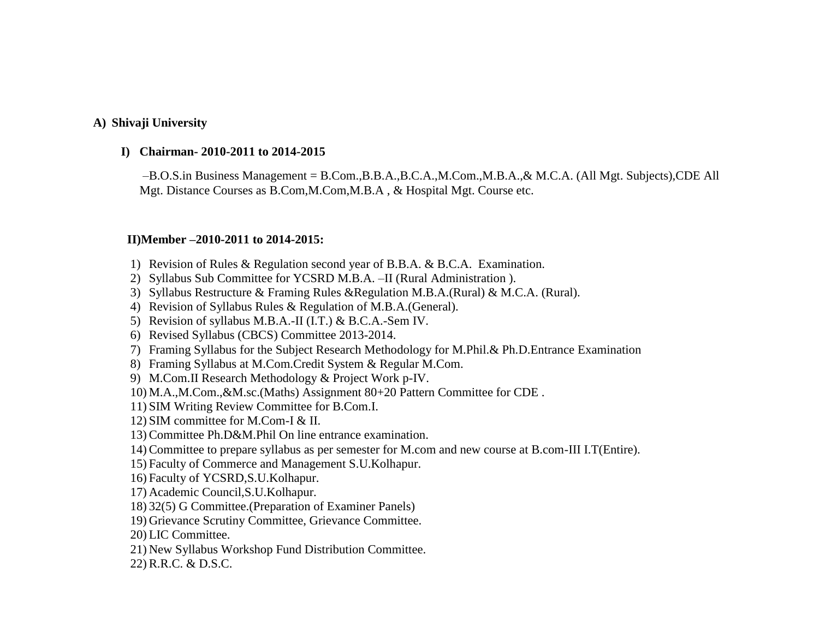### **A) Shivaji University**

#### **I) Chairman- 2010-2011 to 2014-2015**

–B.O.S.in Business Management = B.Com.,B.B.A.,B.C.A.,M.Com.,M.B.A.,& M.C.A. (All Mgt. Subjects),CDE All Mgt. Distance Courses as B.Com,M.Com,M.B.A , & Hospital Mgt. Course etc.

#### **II)Member –2010-2011 to 2014-2015:**

- 1) Revision of Rules & Regulation second year of B.B.A. & B.C.A. Examination.
- 2) Syllabus Sub Committee for YCSRD M.B.A. –II (Rural Administration ).
- 3) Syllabus Restructure & Framing Rules &Regulation M.B.A.(Rural) & M.C.A. (Rural).
- 4) Revision of Syllabus Rules & Regulation of M.B.A.(General).
- 5) Revision of syllabus M.B.A.-II (I.T.) & B.C.A.-Sem IV.
- 6) Revised Syllabus (CBCS) Committee 2013-2014.
- 7) Framing Syllabus for the Subject Research Methodology for M.Phil.& Ph.D.Entrance Examination
- 8) Framing Syllabus at M.Com.Credit System & Regular M.Com.
- 9) M.Com.II Research Methodology & Project Work p-IV.
- 10) M.A.,M.Com.,&M.sc.(Maths) Assignment 80+20 Pattern Committee for CDE .
- 11) SIM Writing Review Committee for B.Com.I.
- 12) SIM committee for M.Com-I & II.
- 13) Committee Ph.D&M.Phil On line entrance examination.
- 14) Committee to prepare syllabus as per semester for M.com and new course at B.com-III I.T(Entire).
- 15) Faculty of Commerce and Management S.U.Kolhapur.
- 16) Faculty of YCSRD,S.U.Kolhapur.
- 17) Academic Council,S.U.Kolhapur.
- 18) 32(5) G Committee.(Preparation of Examiner Panels)
- 19) Grievance Scrutiny Committee, Grievance Committee.
- 20) LIC Committee.
- 21) New Syllabus Workshop Fund Distribution Committee.
- 22) R.R.C. & D.S.C.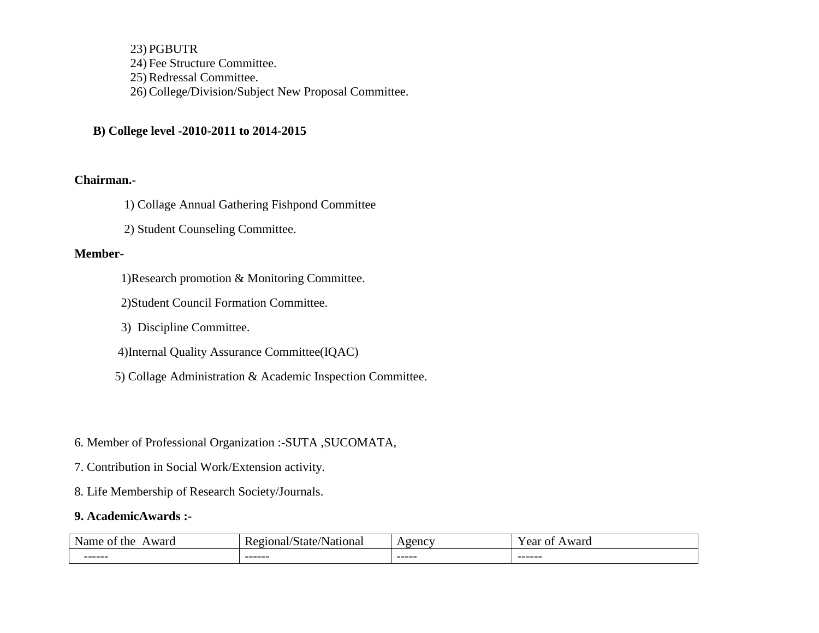23) PGBUTR 24) Fee Structure Committee. 25) Redressal Committee. 26) College/Division/Subject New Proposal Committee.

### **B) College level -2010-2011 to 2014-2015**

#### **Chairman.-**

1) Collage Annual Gathering Fishpond Committee

2) Student Counseling Committee.

### **Member-**

1)Research promotion & Monitoring Committee.

2)Student Council Formation Committee.

3) Discipline Committee.

4)Internal Quality Assurance Committee(IQAC)

5) Collage Administration & Academic Inspection Committee.

#### 6. Member of Professional Organization :-SUTA ,SUCOMATA,

- 7. Contribution in Social Work/Extension activity.
- 8. Life Membership of Research Society/Journals.

## **9. AcademicAwards :-**

| - -<br>Nam<br>ward<br>the<br>пс | r<br>tatı<br>าา<br>n<br>ю | $0$ opn $C^T$<br>$\sim$ | ∨ ∩∩≁<br>ca<br>77 I |
|---------------------------------|---------------------------|-------------------------|---------------------|
| -------                         | -------                   | ------                  | -------             |
|                                 |                           |                         |                     |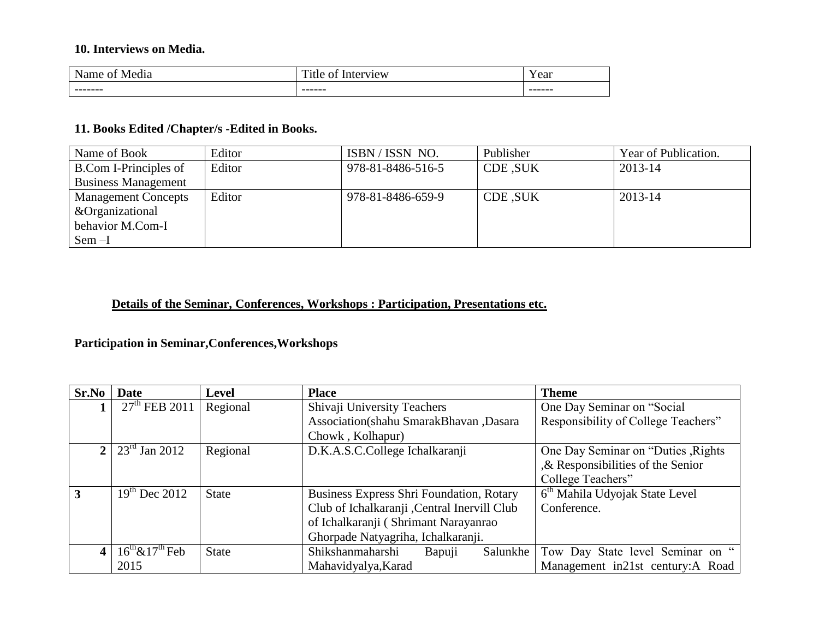## **10. Interviews on Media.**

| $\ddotsc$<br><b>NT</b><br>$\sim$<br>$\overline{\phantom{a}}$<br>edia<br>18.ZD<br>auu<br>ъ. | $\mathbf{m}$<br>$\bigcap$<br>-----<br>1tle<br><br>lC W | ear     |
|--------------------------------------------------------------------------------------------|--------------------------------------------------------|---------|
| --------                                                                                   | -------                                                | ------- |
|                                                                                            |                                                        |         |

## **11. Books Edited /Chapter/s -Edited in Books.**

| Name of Book               | Editor | ISBN/ISSN NO.     | Publisher      | Year of Publication. |
|----------------------------|--------|-------------------|----------------|----------------------|
| B.Com I-Principles of      | Editor | 978-81-8486-516-5 | <b>CDE SUK</b> | 2013-14              |
| <b>Business Management</b> |        |                   |                |                      |
| <b>Management Concepts</b> | Editor | 978-81-8486-659-9 | CDE, SUK       | 2013-14              |
| &Organizational            |        |                   |                |                      |
| behavior M.Com-I           |        |                   |                |                      |
| $Sem-I$                    |        |                   |                |                      |

## **Details of the Seminar, Conferences, Workshops : Participation, Presentations etc.**

## **Participation in Seminar,Conferences,Workshops**

| Sr.No | Date                      | <b>Level</b> | <b>Place</b>                                    | <b>Theme</b>                               |
|-------|---------------------------|--------------|-------------------------------------------------|--------------------------------------------|
|       | $27th$ FEB 2011           | Regional     | Shivaji University Teachers                     | One Day Seminar on "Social                 |
|       |                           |              | Association(shahu SmarakBhavan, Dasara          | Responsibility of College Teachers"        |
|       |                           |              | Chowk, Kolhapur)                                |                                            |
|       | $2 \mid 23^{rd}$ Jan 2012 | Regional     | D.K.A.S.C.College Ichalkaranji                  | One Day Seminar on "Duties, Rights         |
|       |                           |              |                                                 | $\&$ Responsibilities of the Senior        |
|       |                           |              |                                                 | College Teachers"                          |
| 3     | $19^{th}$ Dec 2012        | <b>State</b> | <b>Business Express Shri Foundation, Rotary</b> | 6 <sup>th</sup> Mahila Udyojak State Level |
|       |                           |              | Club of Ichalkaranji , Central Inervill Club    | Conference.                                |
|       |                           |              | of Ichalkaranji (Shrimant Narayanrao            |                                            |
|       |                           |              | Ghorpade Natyagriha, Ichalkaranji.              |                                            |
|       | $16^{th}\&17^{th}$ Feb    | <b>State</b> | Shikshanmaharshi<br>Salunkhe<br>Bapuji          | Tow Day State level Seminar on "           |
|       | 2015                      |              | Mahavidyalya, Karad                             | Management in21st century:A Road           |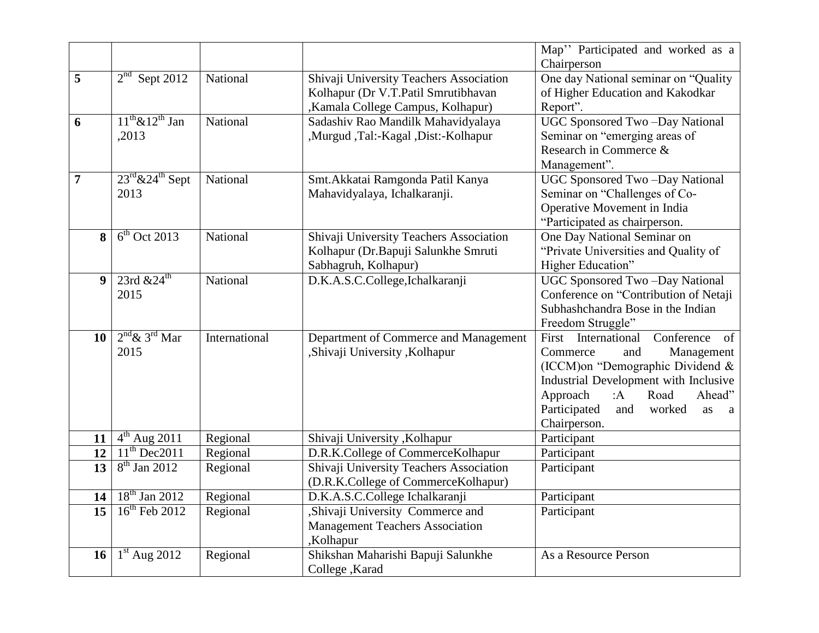|                 |                                          |               |                                         | Map" Participated and worked as a                   |  |
|-----------------|------------------------------------------|---------------|-----------------------------------------|-----------------------------------------------------|--|
|                 |                                          |               |                                         | Chairperson                                         |  |
| 5               | $2nd$ Sept 2012                          | National      | Shivaji University Teachers Association | One day National seminar on "Quality                |  |
|                 |                                          |               | Kolhapur (Dr V.T.Patil Smrutibhavan     | of Higher Education and Kakodkar                    |  |
|                 |                                          |               | Kamala College Campus, Kolhapur)        | Report".                                            |  |
| 6               | $11^{th}$ & $12^{th}$ Jan                | National      | Sadashiv Rao Mandilk Mahavidyalaya      | UGC Sponsored Two-Day National                      |  |
|                 | ,2013                                    |               | ,Murgud ,Tal:-Kagal ,Dist:-Kolhapur     | Seminar on "emerging areas of                       |  |
|                 |                                          |               |                                         | Research in Commerce &                              |  |
|                 |                                          |               |                                         | Management".                                        |  |
| $\overline{7}$  | $23^{\text{rd}}$ & $24^{\text{th}}$ Sept | National      | Smt. Akkatai Ramgonda Patil Kanya       | <b>UGC Sponsored Two-Day National</b>               |  |
|                 | 2013                                     |               | Mahavidyalaya, Ichalkaranji.            | Seminar on "Challenges of Co-                       |  |
|                 |                                          |               |                                         | Operative Movement in India                         |  |
|                 |                                          |               |                                         | "Participated as chairperson.                       |  |
| 8               | $6th$ Oct 2013                           | National      | Shivaji University Teachers Association | One Day National Seminar on                         |  |
|                 |                                          |               | Kolhapur (Dr.Bapuji Salunkhe Smruti     | "Private Universities and Quality of                |  |
|                 |                                          |               | Sabhagruh, Kolhapur)                    | Higher Education"                                   |  |
| 9               | 23rd $&24$ <sup>th</sup>                 | National      | D.K.A.S.C.College, Ichalkaranji         | UGC Sponsored Two-Day National                      |  |
|                 | 2015                                     |               |                                         | Conference on "Contribution of Netaji               |  |
|                 |                                          |               |                                         | Subhashchandra Bose in the Indian                   |  |
|                 |                                          |               |                                         | Freedom Struggle"                                   |  |
| 10 <sup>°</sup> | $2nd \& 3rd$ Mar                         | International | Department of Commerce and Management   | First International<br>Conference<br>of             |  |
|                 | 2015                                     |               | ,Shivaji University ,Kolhapur           | Commerce<br>and<br>Management                       |  |
|                 |                                          |               |                                         | (ICCM)on "Demographic Dividend &                    |  |
|                 |                                          |               |                                         | Industrial Development with Inclusive               |  |
|                 |                                          |               |                                         | Approach<br>Road<br>Ahead"<br>: $A$                 |  |
|                 |                                          |               |                                         | Participated<br>and<br>worked<br>as<br><sub>a</sub> |  |
|                 |                                          |               |                                         | Chairperson.                                        |  |
| 11              | $4th$ Aug 2011                           | Regional      | Shivaji University , Kolhapur           | Participant                                         |  |
| 12              | $11th$ Dec2011                           | Regional      | D.R.K.College of CommerceKolhapur       | Participant                                         |  |
| 13              | $8th$ Jan 2012                           | Regional      | Shivaji University Teachers Association | Participant                                         |  |
|                 |                                          |               | (D.R.K.College of CommerceKolhapur)     |                                                     |  |
| 14              | $18th$ Jan 2012                          | Regional      | D.K.A.S.C.College Ichalkaranji          | Participant                                         |  |
| 15 <sup>7</sup> | $16^{\text{th}}$ Feb 2012                | Regional      | ,Shivaji University Commerce and        | Participant                                         |  |
|                 |                                          |               | <b>Management Teachers Association</b>  |                                                     |  |
|                 |                                          |               | ,Kolhapur                               |                                                     |  |
| 16 <sup>1</sup> | $1st$ Aug 2012                           | Regional      | Shikshan Maharishi Bapuji Salunkhe      | As a Resource Person                                |  |
|                 |                                          |               | College, Karad                          |                                                     |  |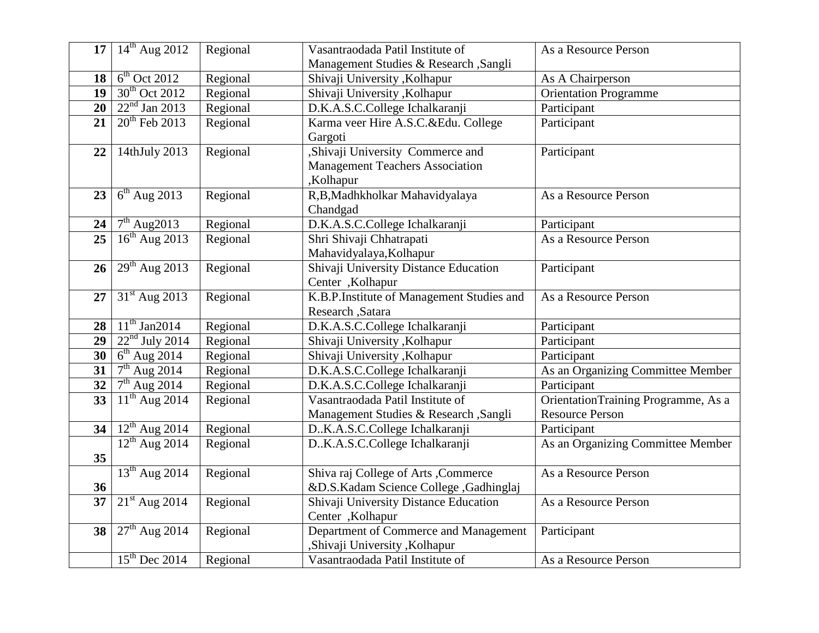|                 | 17   $14^{th}$ Aug 2012      | Regional | Vasantraodada Patil Institute of                            | As a Resource Person                |  |
|-----------------|------------------------------|----------|-------------------------------------------------------------|-------------------------------------|--|
|                 |                              |          | Management Studies & Research , Sangli                      |                                     |  |
| 18 <sup>1</sup> | $6th$ Oct 2012               | Regional | Shivaji University, Kolhapur                                | As A Chairperson                    |  |
| 19 <sup>°</sup> | $30th$ Oct 2012              | Regional | Shivaji University , Kolhapur                               | <b>Orientation Programme</b>        |  |
| 20              | $22nd$ Jan 2013              | Regional | D.K.A.S.C.College Ichalkaranji                              | Participant                         |  |
| 21              | $20th$ Feb 2013              | Regional | Karma veer Hire A.S.C.&Edu. College                         | Participant                         |  |
|                 |                              |          | Gargoti                                                     |                                     |  |
| 22              | 14thJuly 2013                | Regional | "Shivaji University Commerce and                            | Participant                         |  |
|                 |                              |          | <b>Management Teachers Association</b>                      |                                     |  |
|                 |                              |          | ,Kolhapur                                                   |                                     |  |
| 23              | $6th$ Aug 2013               | Regional | R,B,Madhkholkar Mahavidyalaya                               | As a Resource Person                |  |
|                 |                              |          | Chandgad                                                    |                                     |  |
| 24              | $7th$ Aug2013                | Regional | D.K.A.S.C.College Ichalkaranji                              | Participant                         |  |
| 25              | $16th$ Aug 2013              | Regional | Shri Shivaji Chhatrapati                                    | As a Resource Person                |  |
|                 |                              |          | Mahavidyalaya, Kolhapur                                     |                                     |  |
| 26              | $29th$ Aug 2013              | Regional | Shivaji University Distance Education                       | Participant                         |  |
|                 |                              |          | Center , Kolhapur                                           |                                     |  |
| 27              | $31st$ Aug 2013              | Regional | K.B.P.Institute of Management Studies and                   | As a Resource Person                |  |
|                 |                              |          | Research , Satara                                           |                                     |  |
| 28              | $11^{th}$ Jan2014            | Regional | D.K.A.S.C.College Ichalkaranji                              | Participant                         |  |
| 29              | $22nd$ July 2014             | Regional | Shivaji University , Kolhapur<br>Participant                |                                     |  |
| 30 <sup>°</sup> | $6th$ Aug 2014               | Regional | Shivaji University , Kolhapur                               | Participant                         |  |
| 31              | $7th$ Aug 2014               | Regional | D.K.A.S.C.College Ichalkaranji                              | As an Organizing Committee Member   |  |
| 32              | $7th$ Aug 2014               | Regional | D.K.A.S.C.College Ichalkaranji                              | Participant                         |  |
| 33              | $\overline{11^{th}$ Aug 2014 | Regional | Vasantraodada Patil Institute of                            | OrientationTraining Programme, As a |  |
|                 |                              |          | Management Studies & Research , Sangli                      | <b>Resource Person</b>              |  |
| 34              | $12^{th}$ Aug 2014           | Regional | D.K.A.S.C.College Ichalkaranji                              | Participant                         |  |
|                 | $12^{th}$ Aug 2014           | Regional | DK.A.S.C.College Ichalkaranji                               | As an Organizing Committee Member   |  |
| 35              |                              |          |                                                             |                                     |  |
|                 | $13th$ Aug 2014              | Regional | Shiva raj College of Arts, Commerce<br>As a Resource Person |                                     |  |
| 36              |                              |          | &D.S.Kadam Science College ,Gadhinglaj                      |                                     |  |
| 37              | $21st$ Aug 2014              | Regional | Shivaji University Distance Education                       | As a Resource Person                |  |
|                 |                              |          | Center , Kolhapur                                           |                                     |  |
| 38              | $27th$ Aug 2014              | Regional | Department of Commerce and Management                       | Participant                         |  |
|                 |                              |          | ,Shivaji University ,Kolhapur                               |                                     |  |
|                 | $15th$ Dec 2014              | Regional | Vasantraodada Patil Institute of                            | As a Resource Person                |  |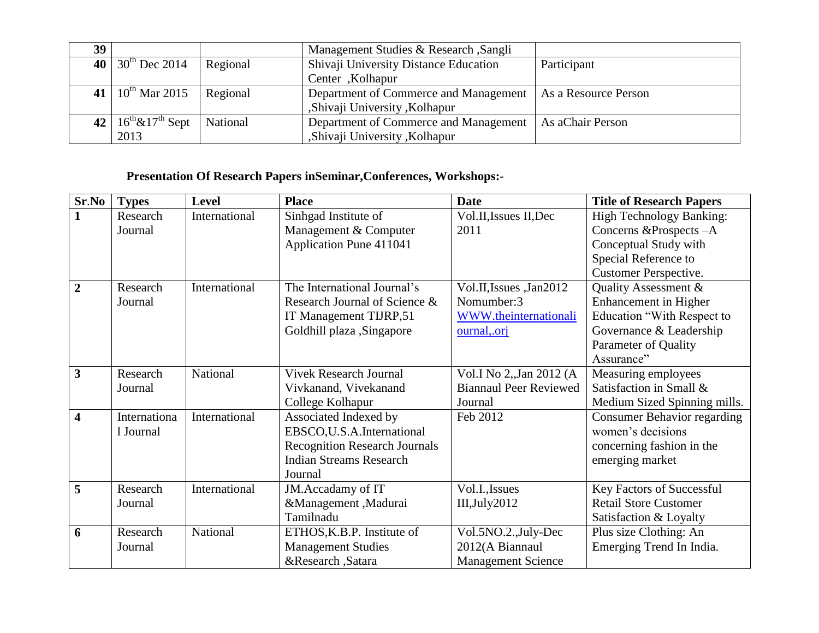| 39 <sup>°</sup> |                               |          | Management Studies & Research, Sangli |                      |
|-----------------|-------------------------------|----------|---------------------------------------|----------------------|
|                 | 40 30 <sup>th</sup> Dec 2014  | Regional | Shivaji University Distance Education | Participant          |
|                 |                               |          | Center, Kolhapur                      |                      |
|                 | 41   $10^{th}$ Mar 2015       | Regional | Department of Commerce and Management | As a Resource Person |
|                 |                               |          | ,Shivaji University ,Kolhapur         |                      |
|                 | 42 $16^{th}$ & $17^{th}$ Sept | National | Department of Commerce and Management | As aChair Person     |
|                 | 2013                          |          | ,Shivaji University ,Kolhapur         |                      |

## **Presentation Of Research Papers inSeminar,Conferences, Workshops:-**

| Sr.No                   | <b>Types</b> | <b>Level</b>  | <b>Place</b>                         | <b>Date</b>                   | <b>Title of Research Papers</b>    |
|-------------------------|--------------|---------------|--------------------------------------|-------------------------------|------------------------------------|
| $\mathbf{1}$            | Research     | International | Sinhgad Institute of                 | Vol.II, Issues II, Dec        | <b>High Technology Banking:</b>    |
|                         | Journal      |               | Management & Computer                | 2011                          | Concerns & Prospects - A           |
|                         |              |               | Application Pune 411041              |                               | Conceptual Study with              |
|                         |              |               |                                      |                               | Special Reference to               |
|                         |              |               |                                      |                               | <b>Customer Perspective.</b>       |
| $\overline{2}$          | Research     | International | The International Journal's          | Vol.II, Issues, Jan2012       | Quality Assessment &               |
|                         | Journal      |               | Research Journal of Science &        | Nomumber:3                    | Enhancement in Higher              |
|                         |              |               | IT Management TIJRP,51               | WWW.theinternationali         | Education "With Respect to         |
|                         |              |               | Goldhill plaza , Singapore           | ournal, orj                   | Governance & Leadership            |
|                         |              |               |                                      |                               | Parameter of Quality               |
|                         |              |               |                                      |                               | Assurance"                         |
| $\overline{3}$          | Research     | National      | <b>Vivek Research Journal</b>        | Vol.I No 2,, Jan 2012 (A      | Measuring employees                |
|                         | Journal      |               | Vivkanand, Vivekanand                | <b>Biannaul Peer Reviewed</b> | Satisfaction in Small &            |
|                         |              |               | College Kolhapur                     | Journal                       | Medium Sized Spinning mills.       |
| $\overline{\mathbf{4}}$ | Internationa | International | Associated Indexed by                | Feb 2012                      | <b>Consumer Behavior regarding</b> |
|                         | 1 Journal    |               | EBSCO, U.S.A. International          |                               | women's decisions                  |
|                         |              |               | <b>Recognition Research Journals</b> |                               | concerning fashion in the          |
|                         |              |               | <b>Indian Streams Research</b>       |                               | emerging market                    |
|                         |              |               | Journal                              |                               |                                    |
| 5                       | Research     | International | JM.Accadamy of IT                    | Vol.I., Issues                | Key Factors of Successful          |
|                         | Journal      |               | &Management, Madurai                 | $III$ , July 2012             | <b>Retail Store Customer</b>       |
|                         |              |               | Tamilnadu                            |                               | Satisfaction & Loyalty             |
| 6                       | Research     | National      | ETHOS, K.B.P. Institute of           | Vol.5NO.2., July-Dec          | Plus size Clothing: An             |
|                         | Journal      |               | <b>Management Studies</b>            | 2012(A Biannaul               | Emerging Trend In India.           |
|                         |              |               | &Research ,Satara                    | <b>Management Science</b>     |                                    |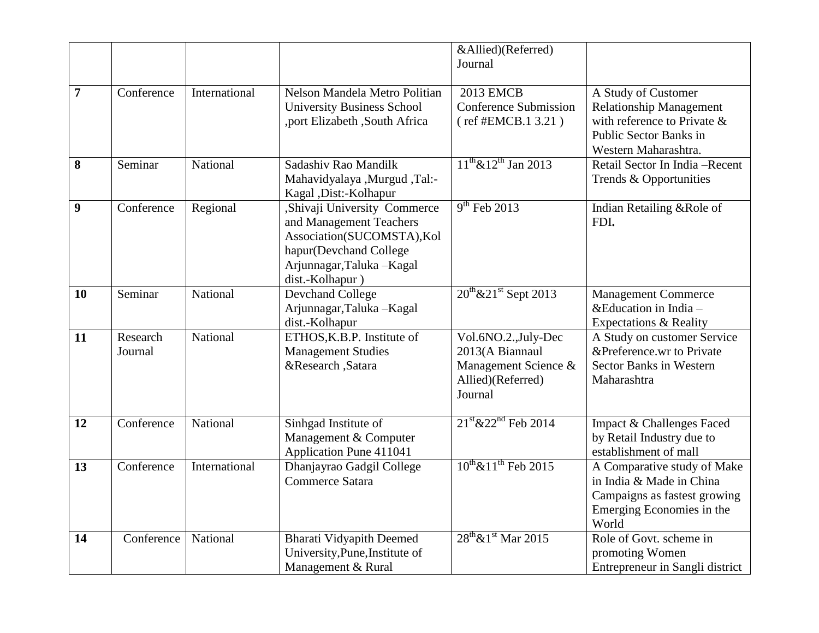|                  |                     |               |                                                                                                                                                                  | &Allied)(Referred)                                                                              |                                                                                                                                           |
|------------------|---------------------|---------------|------------------------------------------------------------------------------------------------------------------------------------------------------------------|-------------------------------------------------------------------------------------------------|-------------------------------------------------------------------------------------------------------------------------------------------|
|                  |                     |               |                                                                                                                                                                  | Journal                                                                                         |                                                                                                                                           |
| $\overline{7}$   | Conference          | International | Nelson Mandela Metro Politian<br><b>University Business School</b><br>,port Elizabeth ,South Africa                                                              | <b>2013 EMCB</b><br><b>Conference Submission</b><br>(ref #EMCB.1 3.21)                          | A Study of Customer<br><b>Relationship Management</b><br>with reference to Private $\&$<br>Public Sector Banks in<br>Western Maharashtra. |
| 8                | Seminar             | National      | Sadashiy Rao Mandilk<br>--Mahavidyalaya ,Murgud ,Tal:<br>Kagal , Dist:-Kolhapur                                                                                  | $11^{th}$ & $12^{th}$ Jan 2013                                                                  | Retail Sector In India - Recent<br>Trends & Opportunities                                                                                 |
| $\boldsymbol{9}$ | Conference          | Regional      | ,Shivaji University Commerce<br>and Management Teachers<br>Association(SUCOMSTA), Kol<br>hapur(Devchand College<br>Arjunnagar, Taluka - Kagal<br>dist.-Kolhapur) | $9th$ Feb 2013                                                                                  | Indian Retailing & Role of<br>FDI.                                                                                                        |
| 10               | Seminar             | National      | <b>Devchand College</b><br>Arjunnagar, Taluka - Kagal<br>dist.-Kolhapur                                                                                          | $20^{th}$ & $21^{st}$ Sept 2013                                                                 | <b>Management Commerce</b><br>& Education in India $-$<br>Expectations & Reality                                                          |
| 11               | Research<br>Journal | National      | ETHOS, K.B.P. Institute of<br><b>Management Studies</b><br>&Research ,Satara                                                                                     | Vol.6NO.2., July-Dec<br>2013(A Biannaul<br>Management Science &<br>Allied)(Referred)<br>Journal | A Study on customer Service<br>&Preference.wr to Private<br><b>Sector Banks in Western</b><br>Maharashtra                                 |
| 12               | Conference          | National      | Sinhgad Institute of<br>Management & Computer<br><b>Application Pune 411041</b>                                                                                  | $21^{\text{st}}$ & $22^{\text{nd}}$ Feb 2014                                                    | <b>Impact &amp; Challenges Faced</b><br>by Retail Industry due to<br>establishment of mall                                                |
| 13               | Conference          | International | Dhanjayrao Gadgil College<br>Commerce Satara                                                                                                                     | $10^{th}$ & $11^{th}$ Feb 2015                                                                  | A Comparative study of Make<br>in India & Made in China<br>Campaigns as fastest growing<br>Emerging Economies in the<br>World             |
| 14               | Conference          | National      | <b>Bharati Vidyapith Deemed</b><br>University, Pune, Institute of<br>Management & Rural                                                                          | $28^{\text{th}} \& 1^{\text{st}}$ Mar 2015                                                      | Role of Govt. scheme in<br>promoting Women<br>Entrepreneur in Sangli district                                                             |